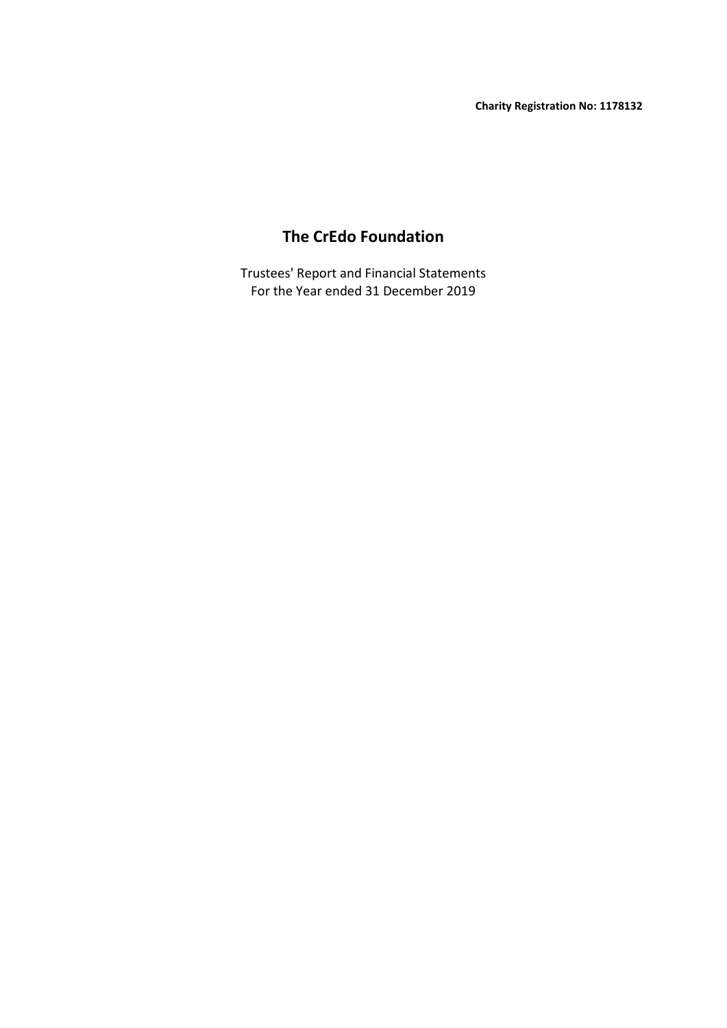# **The CrEdo Foundation**

For the Year ended 31 December 2019 Trustees' Report and Financial Statements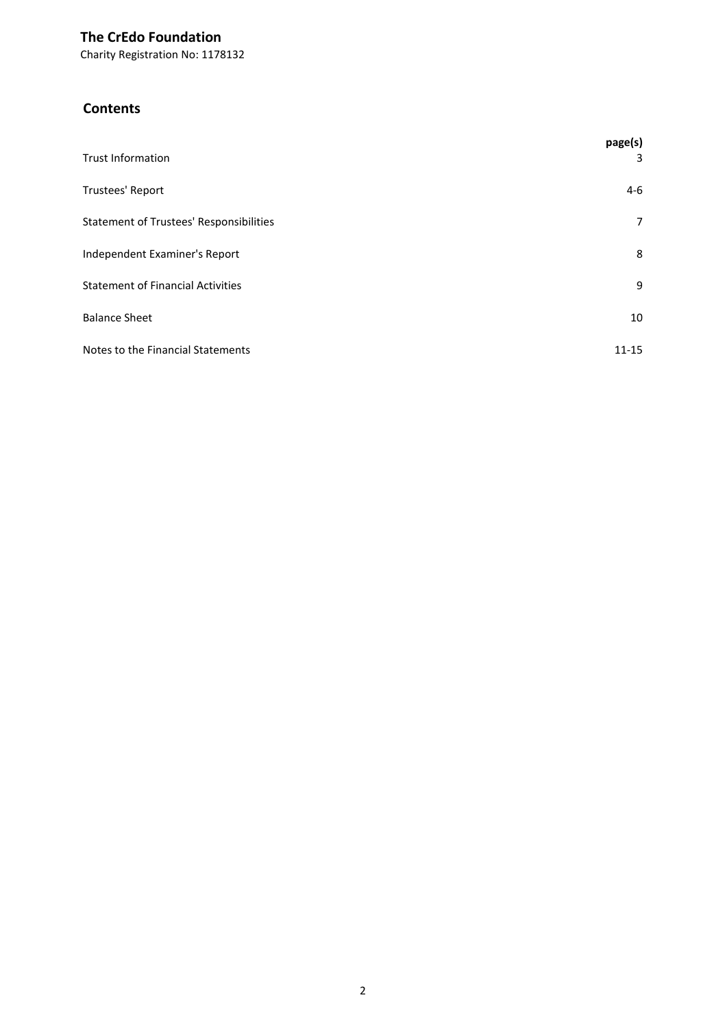Charity Registration No: 1178132

# **Contents**

| <b>Trust Information</b>                       | page(s)<br>3   |
|------------------------------------------------|----------------|
| Trustees' Report                               | $4-6$          |
| <b>Statement of Trustees' Responsibilities</b> | $\overline{7}$ |
| Independent Examiner's Report                  | 8              |
| <b>Statement of Financial Activities</b>       | 9              |
| <b>Balance Sheet</b>                           | 10             |
| Notes to the Financial Statements              | $11 - 15$      |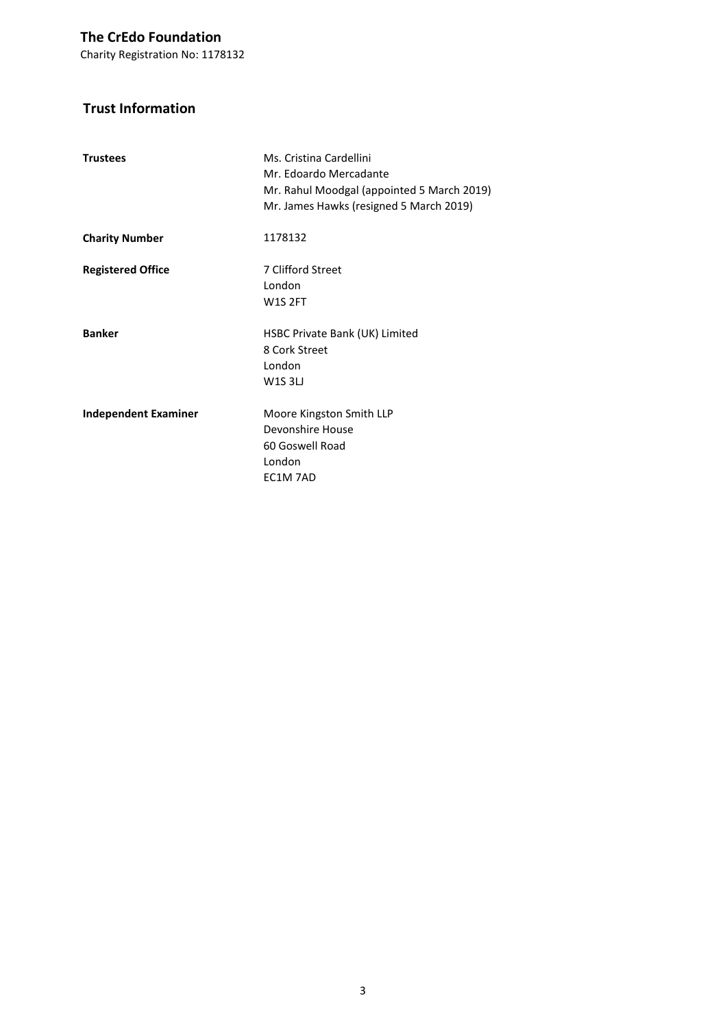Charity Registration No: 1178132

# **Trust Information**

| <b>Trustees</b>             | Ms. Cristina Cardellini<br>Mr. Edoardo Mercadante<br>Mr. Rahul Moodgal (appointed 5 March 2019)<br>Mr. James Hawks (resigned 5 March 2019) |
|-----------------------------|--------------------------------------------------------------------------------------------------------------------------------------------|
| <b>Charity Number</b>       | 1178132                                                                                                                                    |
| <b>Registered Office</b>    | 7 Clifford Street<br>London<br><b>W1S 2FT</b>                                                                                              |
| <b>Banker</b>               | HSBC Private Bank (UK) Limited<br>8 Cork Street<br>London<br><b>W1S3LJ</b>                                                                 |
| <b>Independent Examiner</b> | Moore Kingston Smith LLP<br>Devonshire House<br>60 Goswell Road<br>London<br>EC1M 7AD                                                      |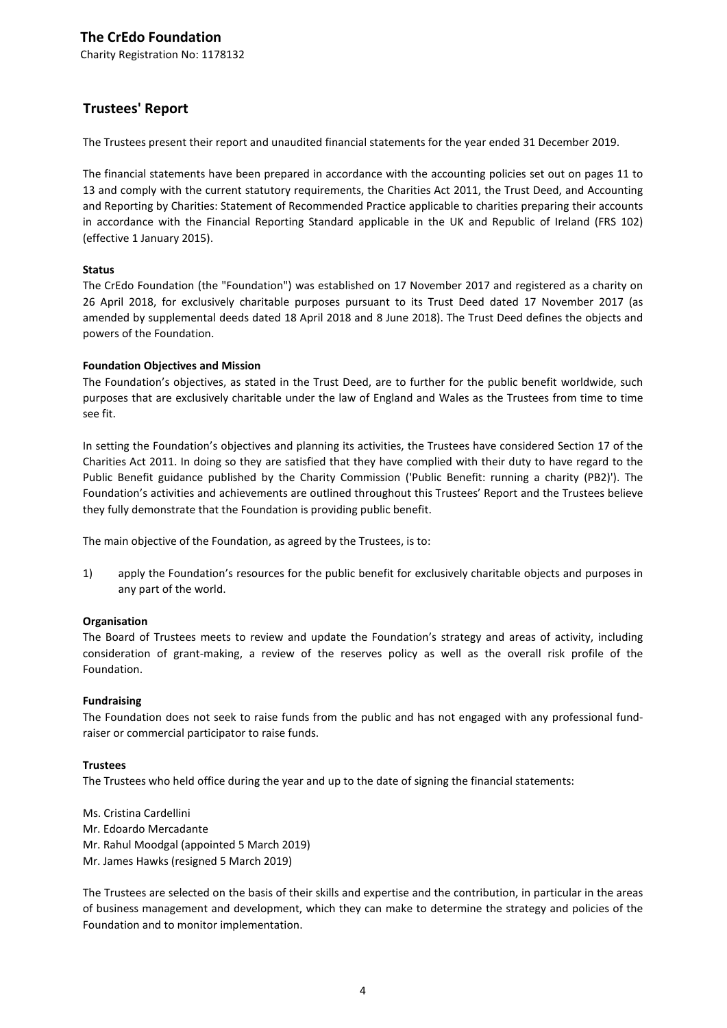Charity Registration No: 1178132

### **Trustees' Report**

The Trustees present their report and unaudited financial statements for the year ended 31 December 2019.

The financial statements have been prepared in accordance with the accounting policies set out on pages 11 to 13 and comply with the current statutory requirements, the Charities Act 2011, the Trust Deed, and Accounting and Reporting by Charities: Statement of Recommended Practice applicable to charities preparing their accounts in accordance with the Financial Reporting Standard applicable in the UK and Republic of Ireland (FRS 102) (effective 1 January 2015).

#### **Status**

The CrEdo Foundation (the "Foundation") was established on 17 November 2017 and registered as a charity on 26 April 2018, for exclusively charitable purposes pursuant to its Trust Deed dated 17 November 2017 (as amended by supplemental deeds dated 18 April 2018 and 8 June 2018). The Trust Deed defines the objects and powers of the Foundation.

#### **Foundation Objectives and Mission**

The Foundation's objectives, as stated in the Trust Deed, are to further for the public benefit worldwide, such purposes that are exclusively charitable under the law of England and Wales as the Trustees from time to time see fit.

In setting the Foundation's objectives and planning its activities, the Trustees have considered Section 17 of the Charities Act 2011. In doing so they are satisfied that they have complied with their duty to have regard to the Public Benefit guidance published by the Charity Commission ('Public Benefit: running a charity (PB2)'). The Foundation's activities and achievements are outlined throughout this Trustees' Report and the Trustees believe they fully demonstrate that the Foundation is providing public benefit.

The main objective of the Foundation, as agreed by the Trustees, is to:

1) apply the Foundation's resources for the public benefit for exclusively charitable objects and purposes in any part of the world.

#### **Organisation**

The Board of Trustees meets to review and update the Foundation's strategy and areas of activity, including consideration of grant-making, a review of the reserves policy as well as the overall risk profile of the Foundation.

#### **Fundraising**

The Foundation does not seek to raise funds from the public and has not engaged with any professional fundraiser or commercial participator to raise funds.

#### **Trustees**

The Trustees who held office during the year and up to the date of signing the financial statements:

Ms. Cristina Cardellini Mr. Edoardo Mercadante Mr. Rahul Moodgal (appointed 5 March 2019) Mr. James Hawks (resigned 5 March 2019)

The Trustees are selected on the basis of their skills and expertise and the contribution, in particular in the areas of business management and development, which they can make to determine the strategy and policies of the Foundation and to monitor implementation.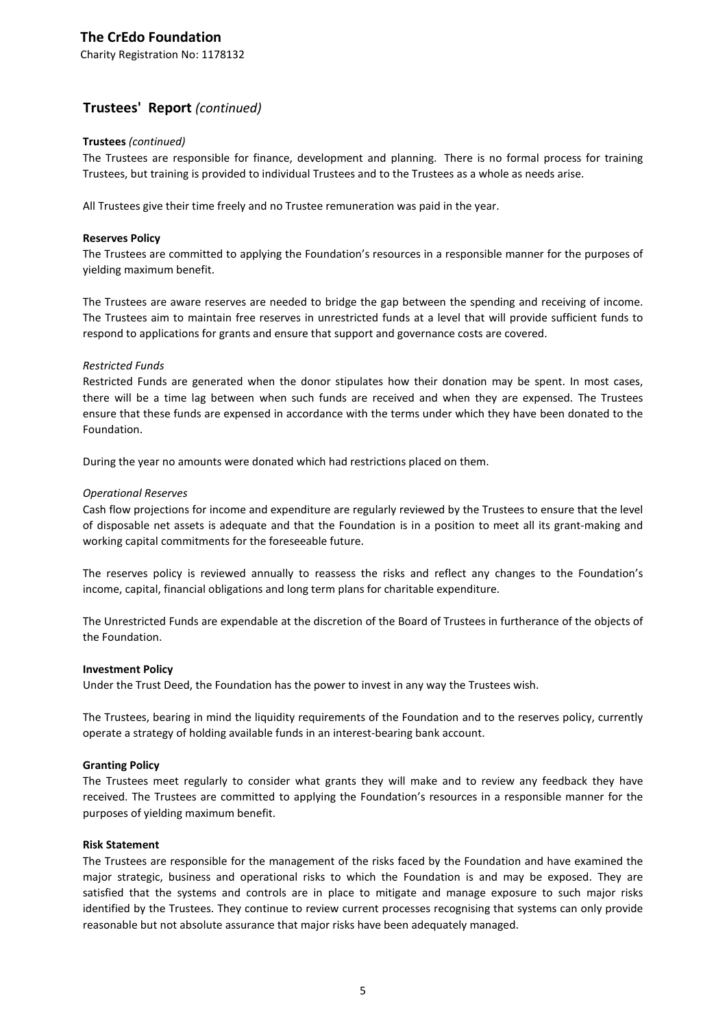Charity Registration No: 1178132

### **Trustees' Report** *(continued)*

#### **Trustees** *(continued)*

The Trustees are responsible for finance, development and planning. There is no formal process for training Trustees, but training is provided to individual Trustees and to the Trustees as a whole as needs arise.

All Trustees give their time freely and no Trustee remuneration was paid in the year.

#### **Reserves Policy**

The Trustees are committed to applying the Foundation's resources in a responsible manner for the purposes of yielding maximum benefit.

The Trustees are aware reserves are needed to bridge the gap between the spending and receiving of income. The Trustees aim to maintain free reserves in unrestricted funds at a level that will provide sufficient funds to respond to applications for grants and ensure that support and governance costs are covered.

#### *Restricted Funds*

Restricted Funds are generated when the donor stipulates how their donation may be spent. In most cases, there will be a time lag between when such funds are received and when they are expensed. The Trustees ensure that these funds are expensed in accordance with the terms under which they have been donated to the Foundation.

During the year no amounts were donated which had restrictions placed on them.

#### *Operational Reserves*

Cash flow projections for income and expenditure are regularly reviewed by the Trustees to ensure that the level of disposable net assets is adequate and that the Foundation is in a position to meet all its grant-making and working capital commitments for the foreseeable future.

The reserves policy is reviewed annually to reassess the risks and reflect any changes to the Foundation's income, capital, financial obligations and long term plans for charitable expenditure.

The Unrestricted Funds are expendable at the discretion of the Board of Trustees in furtherance of the objects of the Foundation.

#### **Investment Policy**

Under the Trust Deed, the Foundation has the power to invest in any way the Trustees wish.

The Trustees, bearing in mind the liquidity requirements of the Foundation and to the reserves policy, currently operate a strategy of holding available funds in an interest-bearing bank account.

#### **Granting Policy**

The Trustees meet regularly to consider what grants they will make and to review any feedback they have received. The Trustees are committed to applying the Foundation's resources in a responsible manner for the purposes of yielding maximum benefit.

#### **Risk Statement**

The Trustees are responsible for the management of the risks faced by the Foundation and have examined the major strategic, business and operational risks to which the Foundation is and may be exposed. They are satisfied that the systems and controls are in place to mitigate and manage exposure to such major risks identified by the Trustees. They continue to review current processes recognising that systems can only provide reasonable but not absolute assurance that major risks have been adequately managed.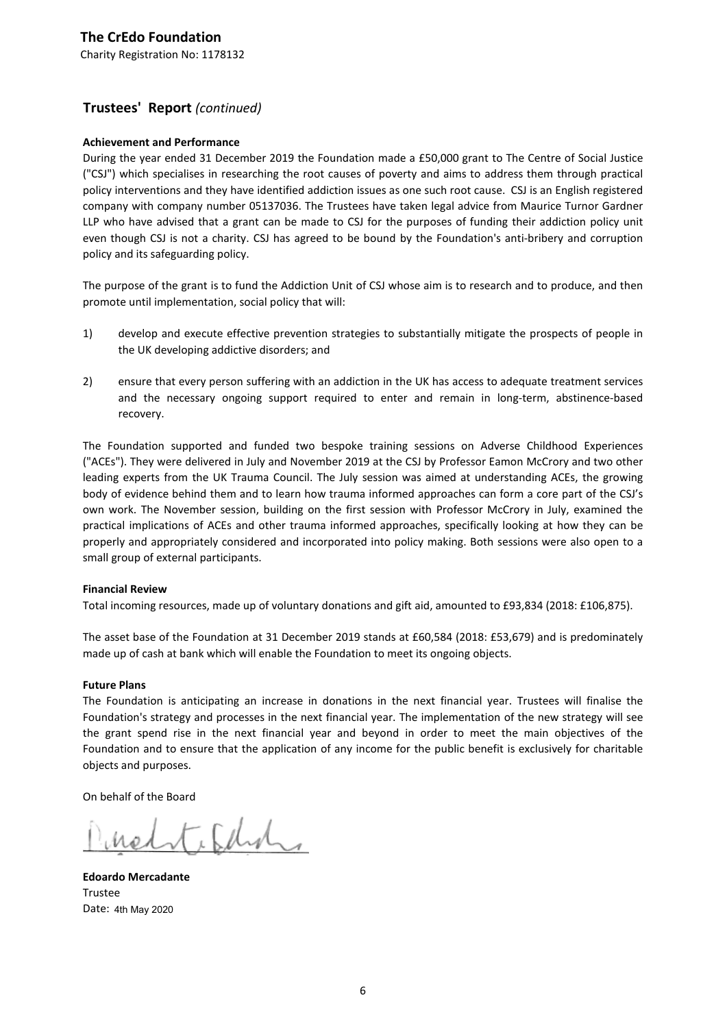# **Trustees' Report** *(continued)*

#### **Achievement and Performance**

During the year ended 31 December 2019 the Foundation made a £50,000 grant to The Centre of Social Justice ("CSJ") which specialises in researching the root causes of poverty and aims to address them through practical policy interventions and they have identified addiction issues as one such root cause. CSJ is an English registered company with company number 05137036. The Trustees have taken legal advice from Maurice Turnor Gardner LLP who have advised that a grant can be made to CSJ for the purposes of funding their addiction policy unit even though CSJ is not a charity. CSJ has agreed to be bound by the Foundation's anti-bribery and corruption policy and its safeguarding policy.

The purpose of the grant is to fund the Addiction Unit of CSJ whose aim is to research and to produce, and then promote until implementation, social policy that will:

- 1) develop and execute effective prevention strategies to substantially mitigate the prospects of people in the UK developing addictive disorders; and
- 2) ensure that every person suffering with an addiction in the UK has access to adequate treatment services and the necessary ongoing support required to enter and remain in long-term, abstinence-based recovery.

The Foundation supported and funded two bespoke training sessions on Adverse Childhood Experiences ("ACEs"). They were delivered in July and November 2019 at the CSJ by Professor Eamon McCrory and two other leading experts from the UK Trauma Council. The July session was aimed at understanding ACEs, the growing body of evidence behind them and to learn how trauma informed approaches can form a core part of the CSJ's own work. The November session, building on the first session with Professor McCrory in July, examined the practical implications of ACEs and other trauma informed approaches, specifically looking at how they can be properly and appropriately considered and incorporated into policy making. Both sessions were also open to a small group of external participants.

#### **Financial Review**

Total incoming resources, made up of voluntary donations and gift aid, amounted to £93,834 (2018: £106,875).

The asset base of the Foundation at 31 December 2019 stands at £60,584 (2018: £53,679) and is predominately made up of cash at bank which will enable the Foundation to meet its ongoing objects.

#### **Future Plans**

The Foundation is anticipating an increase in donations in the next financial year. Trustees will finalise the Foundation's strategy and processes in the next financial year. The implementation of the new strategy will see the grant spend rise in the next financial year and beyond in order to meet the main objectives of the Foundation and to ensure that the application of any income for the public benefit is exclusively for charitable objects and purposes.

On behalf of the Board

, Edina

**Edoardo Mercadante** Trustee Date: 4th May 2020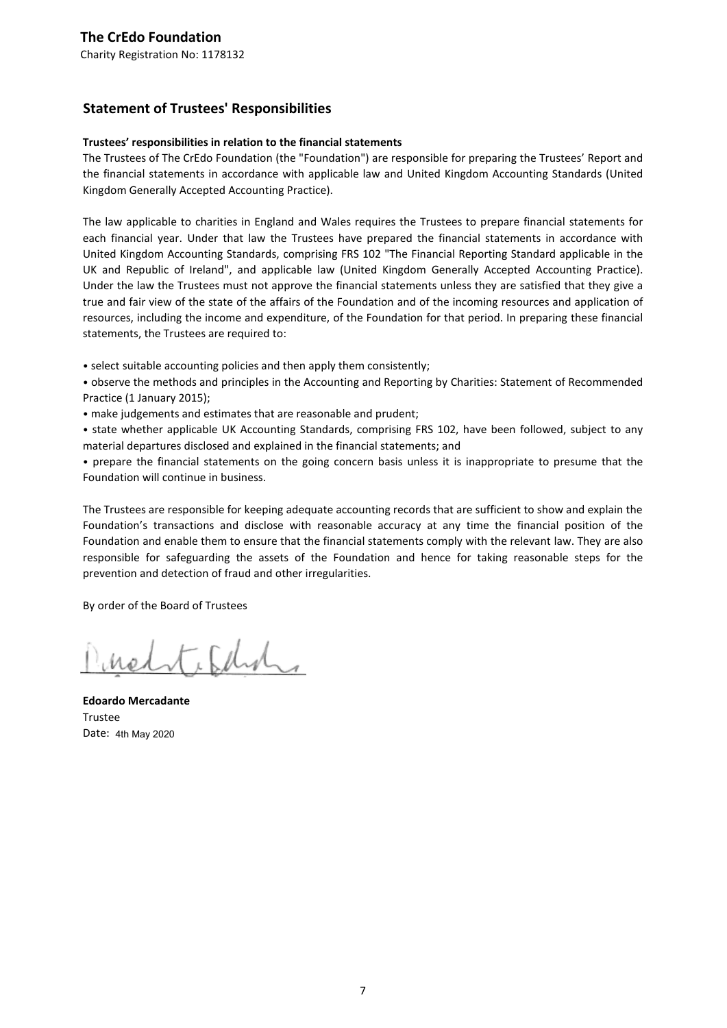## **Statement of Trustees' Responsibilities**

#### **Trustees' responsibilities in relation to the financial statements**

The Trustees of The CrEdo Foundation (the "Foundation") are responsible for preparing the Trustees' Report and the financial statements in accordance with applicable law and United Kingdom Accounting Standards (United Kingdom Generally Accepted Accounting Practice).

The law applicable to charities in England and Wales requires the Trustees to prepare financial statements for each financial year. Under that law the Trustees have prepared the financial statements in accordance with United Kingdom Accounting Standards, comprising FRS 102 "The Financial Reporting Standard applicable in the UK and Republic of Ireland", and applicable law (United Kingdom Generally Accepted Accounting Practice). Under the law the Trustees must not approve the financial statements unless they are satisfied that they give a true and fair view of the state of the affairs of the Foundation and of the incoming resources and application of resources, including the income and expenditure, of the Foundation for that period. In preparing these financial statements, the Trustees are required to:

• select suitable accounting policies and then apply them consistently;

• observe the methods and principles in the Accounting and Reporting by Charities: Statement of Recommended Practice (1 January 2015);

• make judgements and estimates that are reasonable and prudent;

• state whether applicable UK Accounting Standards, comprising FRS 102, have been followed, subject to any material departures disclosed and explained in the financial statements; and

• prepare the financial statements on the going concern basis unless it is inappropriate to presume that the Foundation will continue in business.

The Trustees are responsible for keeping adequate accounting records that are sufficient to show and explain the Foundation's transactions and disclose with reasonable accuracy at any time the financial position of the Foundation and enable them to ensure that the financial statements comply with the relevant law. They are also responsible for safeguarding the assets of the Foundation and hence for taking reasonable steps for the prevention and detection of fraud and other irregularities.

By order of the Board of Trustees

itchno

**Edoardo Mercadante** Trustee Date: 4th May 2020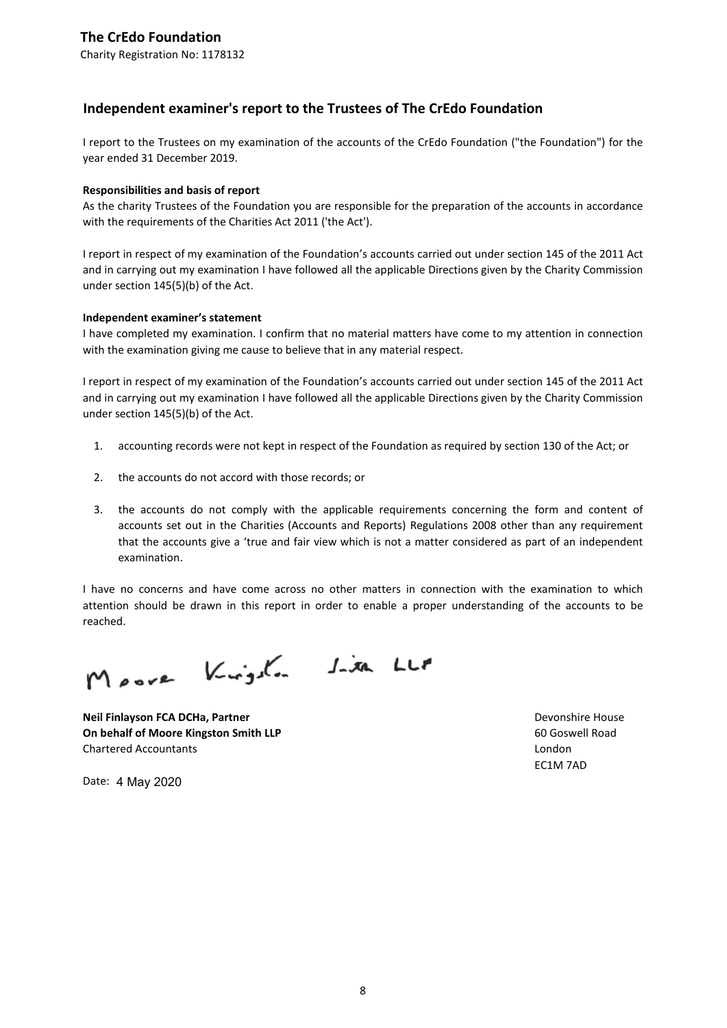Charity Registration No: 1178132

### **Independent examiner's report to the Trustees of The CrEdo Foundation**

I report to the Trustees on my examination of the accounts of the CrEdo Foundation ("the Foundation") for the year ended 31 December 2019.

#### **Responsibilities and basis of report**

As the charity Trustees of the Foundation you are responsible for the preparation of the accounts in accordance with the requirements of the Charities Act 2011 ('the Act').

I report in respect of my examination of the Foundation's accounts carried out under section 145 of the 2011 Act and in carrying out my examination I have followed all the applicable Directions given by the Charity Commission under section 145(5)(b) of the Act.

#### **Independent examiner's statement**

I have completed my examination. I confirm that no material matters have come to my attention in connection with the examination giving me cause to believe that in any material respect.

I report in respect of my examination of the Foundation's accounts carried out under section 145 of the 2011 Act and in carrying out my examination I have followed all the applicable Directions given by the Charity Commission under section 145(5)(b) of the Act.

- 1. accounting records were not kept in respect of the Foundation as required by section 130 of the Act; or
- 2. the accounts do not accord with those records; or
- 3. the accounts do not comply with the applicable requirements concerning the form and content of accounts set out in the Charities (Accounts and Reports) Regulations 2008 other than any requirement that the accounts give a 'true and fair view which is not a matter considered as part of an independent examination.

I have no concerns and have come across no other matters in connection with the examination to which attention should be drawn in this report in order to enable a proper understanding of the accounts to be reached.

Moore Kingsha Sixa LLF

**Neil Finlayson FCA DCHa, Partner New State of Case of Case of Case of Case of Case of Case of Case of Case of Case of Case of Case of Case of Case of Case of Case of Case of Case of Case of Case of Case of Case of Case On behalf of Moore Kingston Smith LLP** 60 Goswell Road Chartered Accountants London

EC1M 7AD

Date: 4 May 2020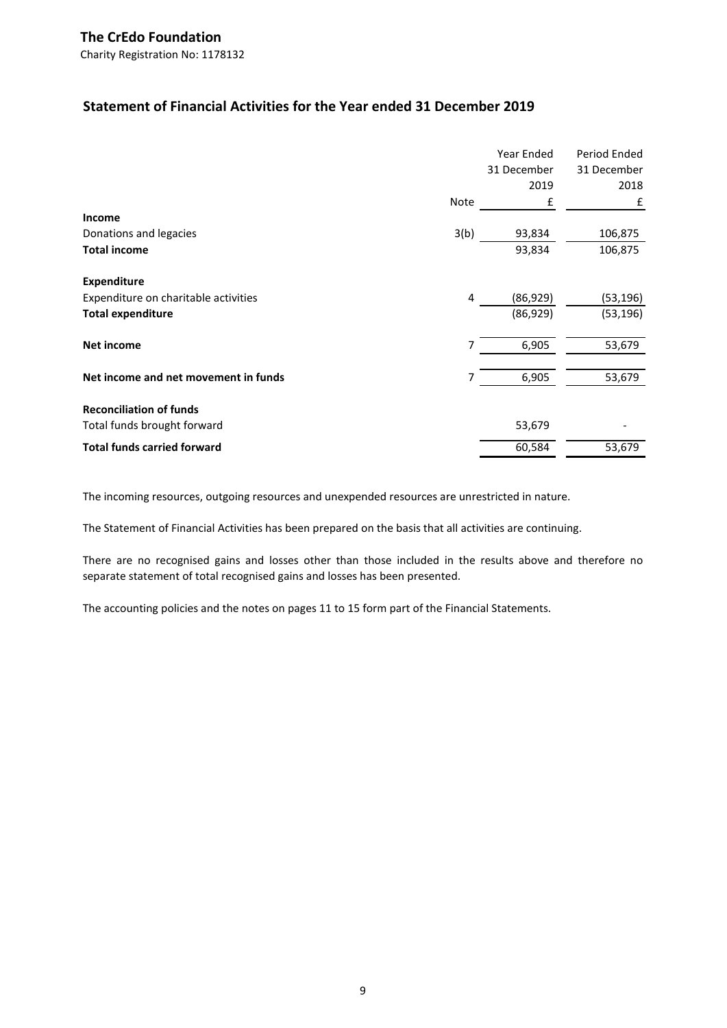Charity Registration No: 1178132

# **Statement of Financial Activities for the Year ended 31 December 2019**

|                                      |      | Year Ended  | Period Ended |
|--------------------------------------|------|-------------|--------------|
|                                      |      | 31 December | 31 December  |
|                                      |      | 2019        | 2018         |
|                                      | Note | £           | £            |
| Income                               |      |             |              |
| Donations and legacies               | 3(b) | 93,834      | 106,875      |
| <b>Total income</b>                  |      | 93,834      | 106,875      |
| <b>Expenditure</b>                   |      |             |              |
| Expenditure on charitable activities | 4    | (86, 929)   | (53, 196)    |
| <b>Total expenditure</b>             |      | (86, 929)   | (53, 196)    |
| <b>Net income</b>                    | 7    | 6,905       | 53,679       |
| Net income and net movement in funds | 7    | 6,905       | 53,679       |
| <b>Reconciliation of funds</b>       |      |             |              |
| Total funds brought forward          |      | 53,679      |              |
| <b>Total funds carried forward</b>   |      | 60,584      | 53,679       |

The incoming resources, outgoing resources and unexpended resources are unrestricted in nature.

The Statement of Financial Activities has been prepared on the basis that all activities are continuing.

There are no recognised gains and losses other than those included in the results above and therefore no separate statement of total recognised gains and losses has been presented.

The accounting policies and the notes on pages 11 to 15 form part of the Financial Statements.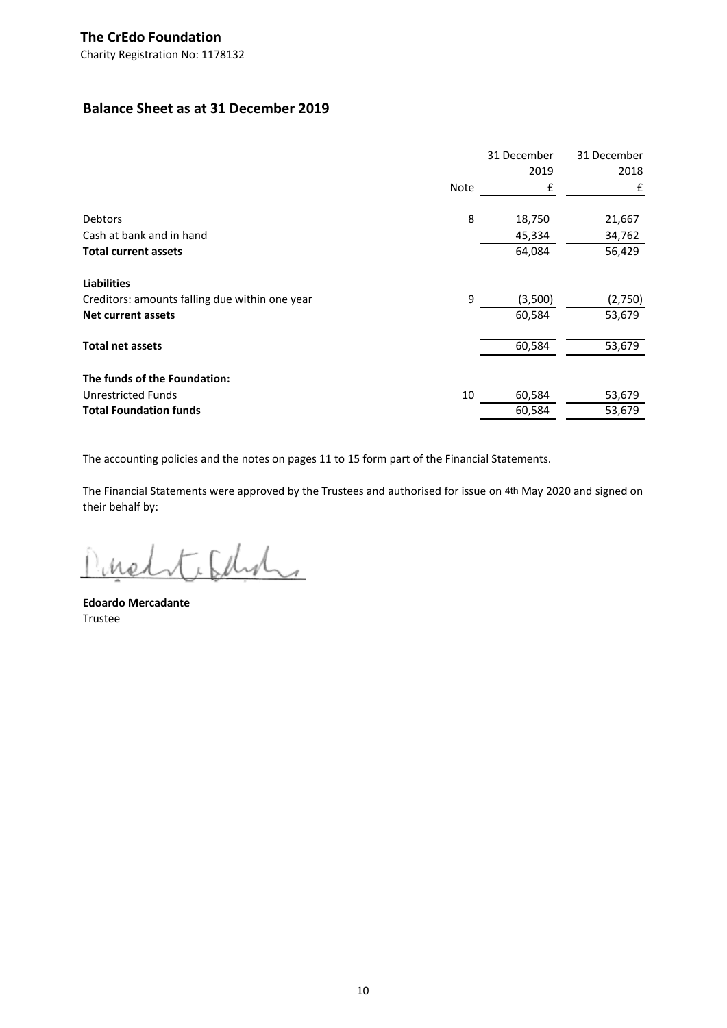# **Balance Sheet as at 31 December 2019**

|                                                |             | 31 December | 31 December |
|------------------------------------------------|-------------|-------------|-------------|
|                                                |             | 2019        | 2018        |
|                                                | <b>Note</b> | £           | £           |
| <b>Debtors</b>                                 | 8           | 18,750      | 21,667      |
| Cash at bank and in hand                       |             | 45,334      | 34,762      |
| <b>Total current assets</b>                    |             | 64,084      | 56,429      |
| <b>Liabilities</b>                             |             |             |             |
| Creditors: amounts falling due within one year | 9           | (3,500)     | (2,750)     |
| <b>Net current assets</b>                      |             | 60,584      | 53,679      |
| <b>Total net assets</b>                        |             | 60,584      | 53,679      |
| The funds of the Foundation:                   |             |             |             |
| Unrestricted Funds                             | 10          | 60,584      | 53,679      |
| <b>Total Foundation funds</b>                  |             | 60,584      | 53,679      |

The accounting policies and the notes on pages 11 to 15 form part of the Financial Statements.

The Financial Statements were approved by the Trustees and authorised for issue on 4th May 2020 and signed on their behalf by:

inelite Edin.

**Edoardo Mercadante** Trustee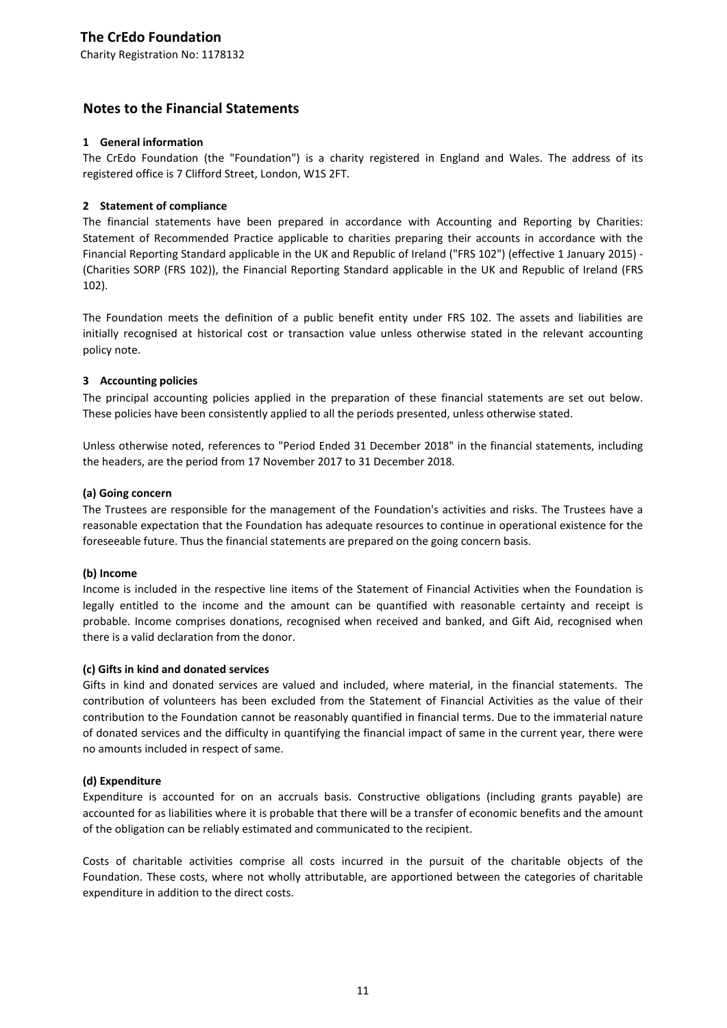Charity Registration No: 1178132

#### **Notes to the Financial Statements**

#### **1 General information**

The CrEdo Foundation (the "Foundation") is a charity registered in England and Wales. The address of its registered office is 7 Clifford Street, London, W1S 2FT.

#### **2 Statement of compliance**

The financial statements have been prepared in accordance with Accounting and Reporting by Charities: Statement of Recommended Practice applicable to charities preparing their accounts in accordance with the Financial Reporting Standard applicable in the UK and Republic of Ireland ("FRS 102") (effective 1 January 2015) - (Charities SORP (FRS 102)), the Financial Reporting Standard applicable in the UK and Republic of Ireland (FRS 102).

The Foundation meets the definition of a public benefit entity under FRS 102. The assets and liabilities are initially recognised at historical cost or transaction value unless otherwise stated in the relevant accounting policy note.

#### **3 Accounting policies**

The principal accounting policies applied in the preparation of these financial statements are set out below. These policies have been consistently applied to all the periods presented, unless otherwise stated.

Unless otherwise noted, references to "Period Ended 31 December 2018" in the financial statements, including the headers, are the period from 17 November 2017 to 31 December 2018.

#### **(a) Going concern**

The Trustees are responsible for the management of the Foundation's activities and risks. The Trustees have a reasonable expectation that the Foundation has adequate resources to continue in operational existence for the foreseeable future. Thus the financial statements are prepared on the going concern basis.

#### **(b) Income**

Income is included in the respective line items of the Statement of Financial Activities when the Foundation is legally entitled to the income and the amount can be quantified with reasonable certainty and receipt is probable. Income comprises donations, recognised when received and banked, and Gift Aid, recognised when there is a valid declaration from the donor.

#### **(c) Gifts in kind and donated services**

Gifts in kind and donated services are valued and included, where material, in the financial statements. The contribution of volunteers has been excluded from the Statement of Financial Activities as the value of their contribution to the Foundation cannot be reasonably quantified in financial terms. Due to the immaterial nature of donated services and the difficulty in quantifying the financial impact of same in the current year, there were no amounts included in respect of same.

#### **(d) Expenditure**

Expenditure is accounted for on an accruals basis. Constructive obligations (including grants payable) are accounted for as liabilities where it is probable that there will be a transfer of economic benefits and the amount of the obligation can be reliably estimated and communicated to the recipient.

Costs of charitable activities comprise all costs incurred in the pursuit of the charitable objects of the Foundation. These costs, where not wholly attributable, are apportioned between the categories of charitable expenditure in addition to the direct costs.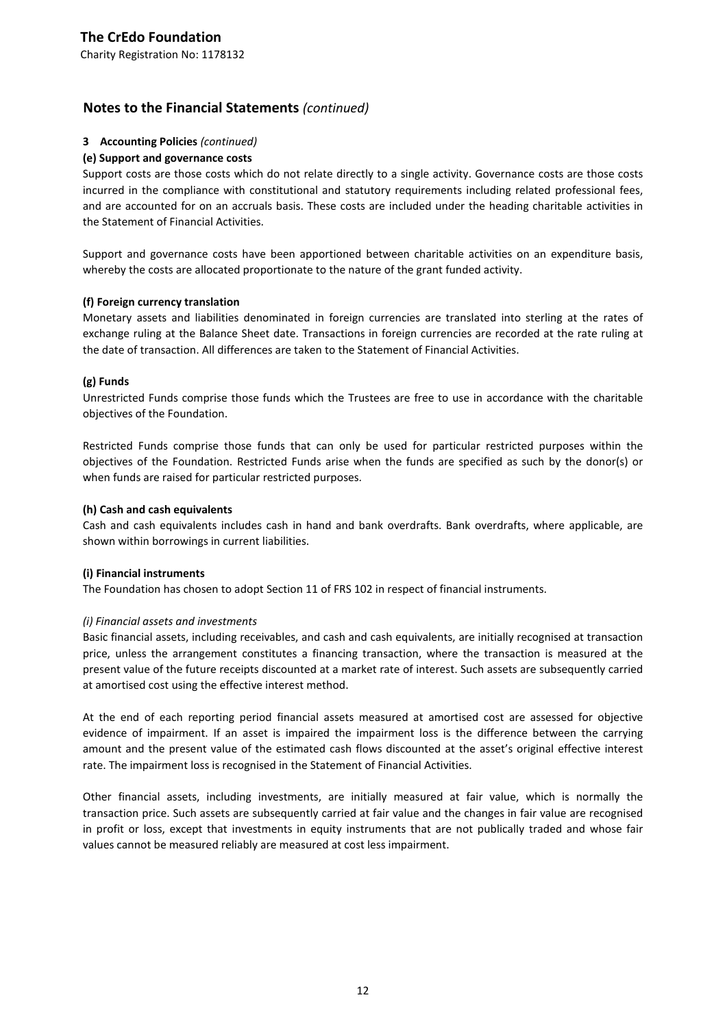### **Notes to the Financial Statements** *(continued)*

#### **3 Accounting Policies** *(continued)*

#### **(e) Support and governance costs**

Support costs are those costs which do not relate directly to a single activity. Governance costs are those costs incurred in the compliance with constitutional and statutory requirements including related professional fees, and are accounted for on an accruals basis. These costs are included under the heading charitable activities in the Statement of Financial Activities.

Support and governance costs have been apportioned between charitable activities on an expenditure basis, whereby the costs are allocated proportionate to the nature of the grant funded activity.

#### **(f) Foreign currency translation**

Monetary assets and liabilities denominated in foreign currencies are translated into sterling at the rates of exchange ruling at the Balance Sheet date. Transactions in foreign currencies are recorded at the rate ruling at the date of transaction. All differences are taken to the Statement of Financial Activities.

#### **(g) Funds**

Unrestricted Funds comprise those funds which the Trustees are free to use in accordance with the charitable objectives of the Foundation.

Restricted Funds comprise those funds that can only be used for particular restricted purposes within the objectives of the Foundation. Restricted Funds arise when the funds are specified as such by the donor(s) or when funds are raised for particular restricted purposes.

#### **(h) Cash and cash equivalents**

Cash and cash equivalents includes cash in hand and bank overdrafts. Bank overdrafts, where applicable, are shown within borrowings in current liabilities.

#### **(i) Financial instruments**

The Foundation has chosen to adopt Section 11 of FRS 102 in respect of financial instruments.

#### *(i) Financial assets and investments*

Basic financial assets, including receivables, and cash and cash equivalents, are initially recognised at transaction price, unless the arrangement constitutes a financing transaction, where the transaction is measured at the present value of the future receipts discounted at a market rate of interest. Such assets are subsequently carried at amortised cost using the effective interest method.

At the end of each reporting period financial assets measured at amortised cost are assessed for objective evidence of impairment. If an asset is impaired the impairment loss is the difference between the carrying amount and the present value of the estimated cash flows discounted at the asset's original effective interest rate. The impairment loss is recognised in the Statement of Financial Activities.

Other financial assets, including investments, are initially measured at fair value, which is normally the transaction price. Such assets are subsequently carried at fair value and the changes in fair value are recognised in profit or loss, except that investments in equity instruments that are not publically traded and whose fair values cannot be measured reliably are measured at cost less impairment.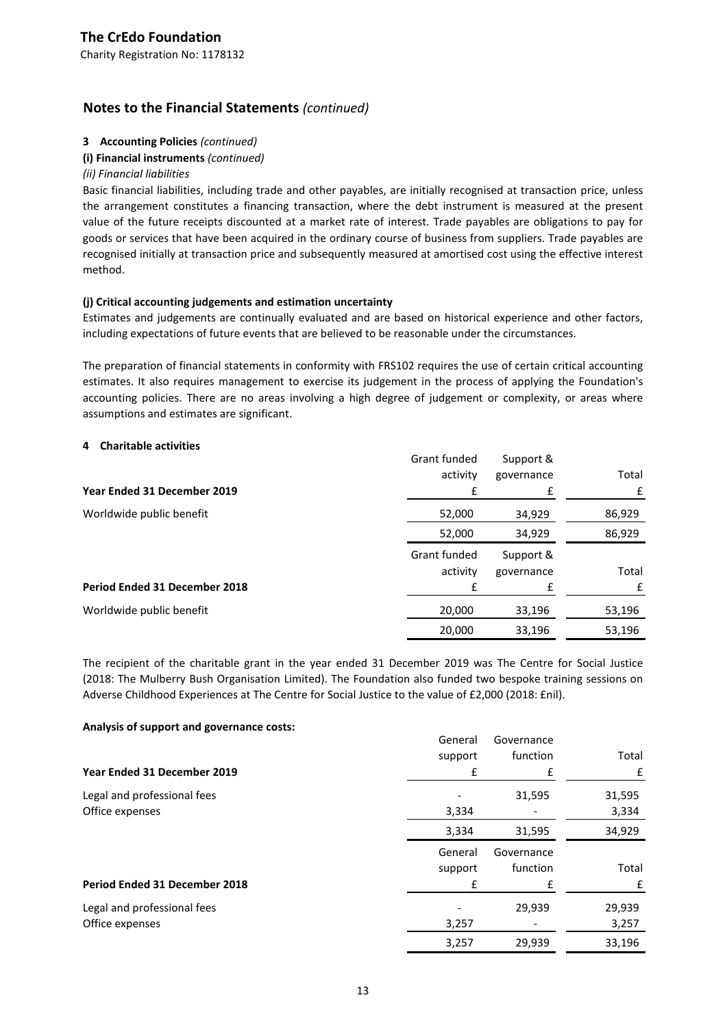## **Notes to the Financial Statements** *(continued)*

#### **3 Accounting Policies** *(continued)*

#### **(i) Financial instruments** *(continued)*

#### *(ii) Financial liabilities*

Basic financial liabilities, including trade and other payables, are initially recognised at transaction price, unless the arrangement constitutes a financing transaction, where the debt instrument is measured at the present value of the future receipts discounted at a market rate of interest. Trade payables are obligations to pay for goods or services that have been acquired in the ordinary course of business from suppliers. Trade payables are recognised initially at transaction price and subsequently measured at amortised cost using the effective interest method.

#### **(j) Critical accounting judgements and estimation uncertainty**

Estimates and judgements are continually evaluated and are based on historical experience and other factors, including expectations of future events that are believed to be reasonable under the circumstances.

The preparation of financial statements in conformity with FRS102 requires the use of certain critical accounting estimates. It also requires management to exercise its judgement in the process of applying the Foundation's accounting policies. There are no areas involving a high degree of judgement or complexity, or areas where assumptions and estimates are significant.

#### **4 Charitable activities**

|                               | Grant funded<br>activity | Support &<br>governance | Total  |
|-------------------------------|--------------------------|-------------------------|--------|
| Year Ended 31 December 2019   |                          |                         |        |
| Worldwide public benefit      | 52,000                   | 34,929                  | 86,929 |
|                               | 52,000                   | 34,929                  | 86,929 |
|                               | Grant funded<br>activity | Support &<br>governance | Total  |
| Period Ended 31 December 2018 |                          | f                       | f      |
| Worldwide public benefit      | 20,000                   | 33,196                  | 53,196 |
|                               | 20,000                   | 33,196                  | 53,196 |

The recipient of the charitable grant in the year ended 31 December 2019 was The Centre for Social Justice (2018: The Mulberry Bush Organisation Limited). The Foundation also funded two bespoke training sessions on Adverse Childhood Experiences at The Centre for Social Justice to the value of £2,000 (2018: £nil).

#### **Analysis of support and governance costs:**

|                                      | General | Governance |        |
|--------------------------------------|---------|------------|--------|
|                                      | support | function   | Total  |
| Year Ended 31 December 2019          | £       | £          | £      |
| Legal and professional fees          |         | 31,595     | 31,595 |
| Office expenses                      | 3,334   |            | 3,334  |
|                                      | 3,334   | 31,595     | 34,929 |
|                                      | General | Governance |        |
|                                      | support | function   | Total  |
| <b>Period Ended 31 December 2018</b> | £       | £          | £      |
| Legal and professional fees          |         | 29,939     | 29,939 |
| Office expenses                      | 3,257   |            | 3,257  |
|                                      | 3,257   | 29,939     | 33,196 |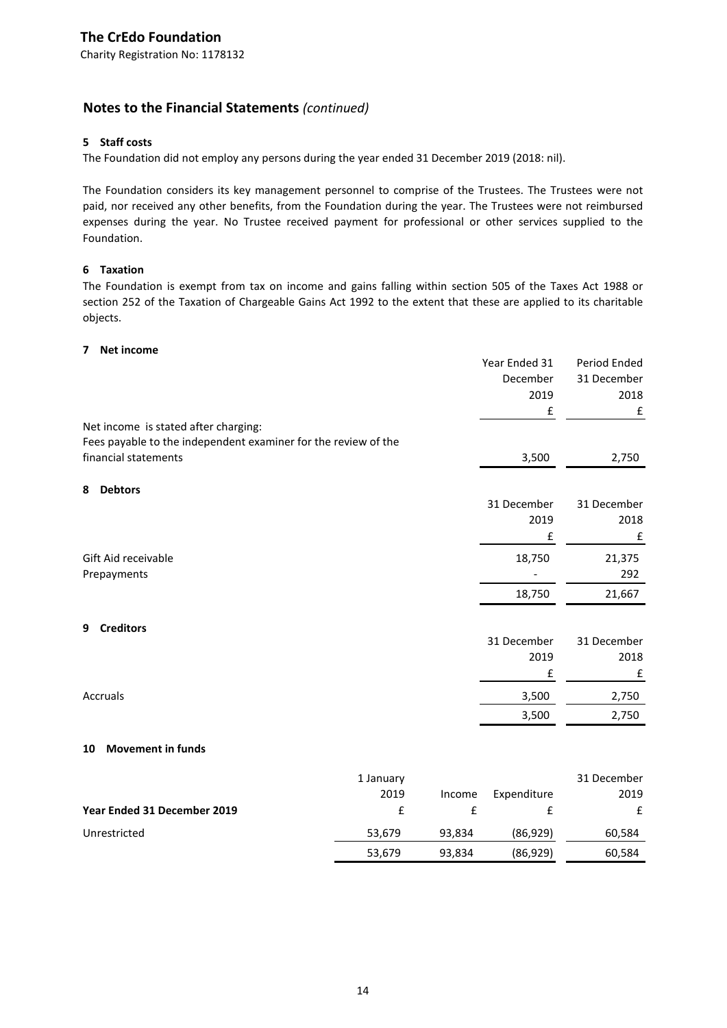## **Notes to the Financial Statements** *(continued)*

#### **5 Staff costs**

The Foundation did not employ any persons during the year ended 31 December 2019 (2018: nil).

The Foundation considers its key management personnel to comprise of the Trustees. The Trustees were not paid, nor received any other benefits, from the Foundation during the year. The Trustees were not reimbursed expenses during the year. No Trustee received payment for professional or other services supplied to the Foundation.

#### **6 Taxation**

The Foundation is exempt from tax on income and gains falling within section 505 of the Taxes Act 1988 or section 252 of the Taxation of Chargeable Gains Act 1992 to the extent that these are applied to its charitable objects.

#### **7 Net income**

|                                                                | Year Ended 31 | Period Ended |
|----------------------------------------------------------------|---------------|--------------|
|                                                                | December      | 31 December  |
|                                                                | 2019          | 2018         |
|                                                                | £             | £            |
| Net income is stated after charging:                           |               |              |
| Fees payable to the independent examiner for the review of the |               |              |
| financial statements                                           | 3,500         | 2,750        |
|                                                                |               |              |
| 8<br><b>Debtors</b>                                            |               |              |
|                                                                | 31 December   | 31 December  |
|                                                                | 2019          | 2018         |
|                                                                | £             | £            |
| Gift Aid receivable                                            | 18,750        | 21,375       |
| Prepayments                                                    |               | 292          |
|                                                                | 18,750        | 21,667       |
|                                                                |               |              |
| <b>Creditors</b><br>9                                          |               |              |
|                                                                | 31 December   | 31 December  |
|                                                                | 2019          | 2018         |
|                                                                | £             | £            |
| Accruals                                                       | 3,500         | 2,750        |
|                                                                | 3,500         | 2,750        |
|                                                                |               |              |
| <b>Movement in funds</b><br>10                                 |               |              |
| 1 January                                                      |               | 31 December  |
| 2019<br>Income                                                 | Expenditure   | 2019         |
| Year Ended 31 December 2019<br>£<br>£                          | £             | £            |

Unrestricted 53,679 93,834 (86,929) 60,584

53,679 93,834 (86,929) 60,584